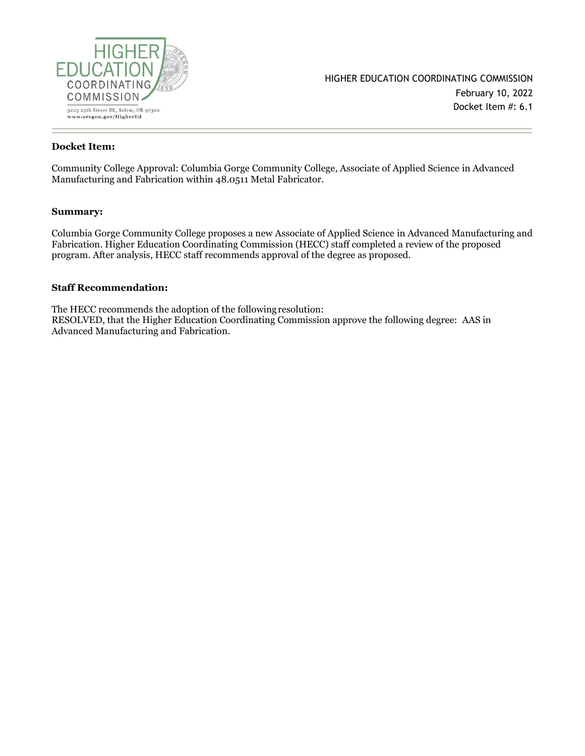

#### **Docket Item:**

Community College Approval: Columbia Gorge Community College, Associate of Applied Science in Advanced Manufacturing and Fabrication within 48.0511 Metal Fabricator.

#### **Summary:**

Columbia Gorge Community College proposes a new Associate of Applied Science in Advanced Manufacturing and Fabrication. Higher Education Coordinating Commission (HECC) staff completed a review of the proposed program. After analysis, HECC staff recommends approval of the degree as proposed.

#### **Staff Recommendation:**

The HECC recommends the adoption of the following resolution: RESOLVED, that the Higher Education Coordinating Commission approve the following degree: AAS in Advanced Manufacturing and Fabrication.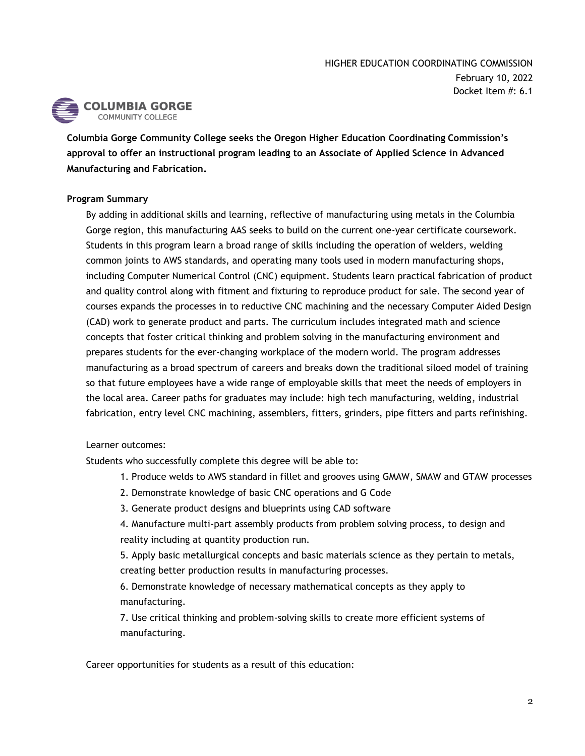

**Columbia Gorge Community College seeks the Oregon Higher Education Coordinating Commission's approval to offer an instructional program leading to an Associate of Applied Science in Advanced Manufacturing and Fabrication.**

### **Program Summary**

By adding in additional skills and learning, reflective of manufacturing using metals in the Columbia Gorge region, this manufacturing AAS seeks to build on the current one-year certificate coursework. Students in this program learn a broad range of skills including the operation of welders, welding common joints to AWS standards, and operating many tools used in modern manufacturing shops, including Computer Numerical Control (CNC) equipment. Students learn practical fabrication of product and quality control along with fitment and fixturing to reproduce product for sale. The second year of courses expands the processes in to reductive CNC machining and the necessary Computer Aided Design (CAD) work to generate product and parts. The curriculum includes integrated math and science concepts that foster critical thinking and problem solving in the manufacturing environment and prepares students for the ever-changing workplace of the modern world. The program addresses manufacturing as a broad spectrum of careers and breaks down the traditional siloed model of training so that future employees have a wide range of employable skills that meet the needs of employers in the local area. Career paths for graduates may include: high tech manufacturing, welding, industrial fabrication, entry level CNC machining, assemblers, fitters, grinders, pipe fitters and parts refinishing.

### Learner outcomes:

Students who successfully complete this degree will be able to:

- 1. Produce welds to AWS standard in fillet and grooves using GMAW, SMAW and GTAW processes
- 2. Demonstrate knowledge of basic CNC operations and G Code
- 3. Generate product designs and blueprints using CAD software
- 4. Manufacture multi-part assembly products from problem solving process, to design and reality including at quantity production run.

5. Apply basic metallurgical concepts and basic materials science as they pertain to metals, creating better production results in manufacturing processes.

6. Demonstrate knowledge of necessary mathematical concepts as they apply to manufacturing.

7. Use critical thinking and problem-solving skills to create more efficient systems of manufacturing.

Career opportunities for students as a result of this education: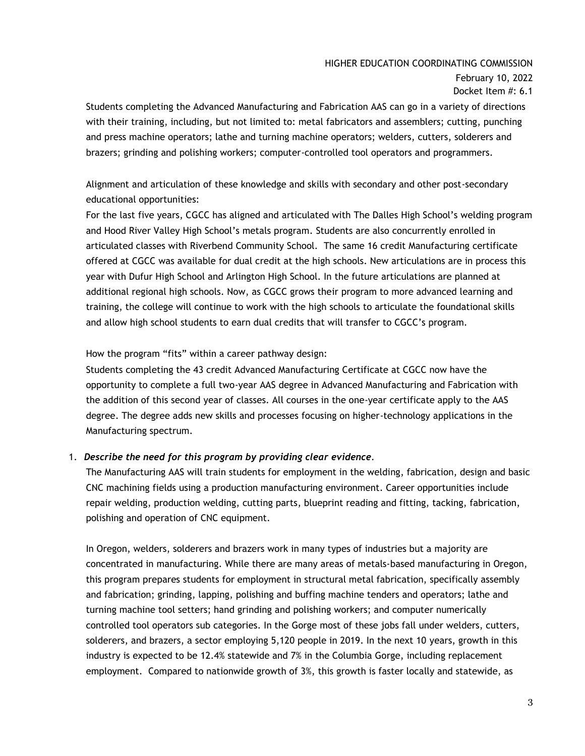## HIGHER EDUCATION COORDINATING COMMISSION

February 10, 2022 Docket Item #: 6.1

Students completing the Advanced Manufacturing and Fabrication AAS can go in a variety of directions with their training, including, but not limited to: metal fabricators and assemblers; cutting, punching and press machine operators; lathe and turning machine operators; welders, cutters, solderers and brazers; grinding and polishing workers; computer-controlled tool operators and programmers.

Alignment and articulation of these knowledge and skills with secondary and other post-secondary educational opportunities:

For the last five years, CGCC has aligned and articulated with The Dalles High School's welding program and Hood River Valley High School's metals program. Students are also concurrently enrolled in articulated classes with Riverbend Community School. The same 16 credit Manufacturing certificate offered at CGCC was available for dual credit at the high schools. New articulations are in process this year with Dufur High School and Arlington High School. In the future articulations are planned at additional regional high schools. Now, as CGCC grows their program to more advanced learning and training, the college will continue to work with the high schools to articulate the foundational skills and allow high school students to earn dual credits that will transfer to CGCC's program.

How the program "fits" within a career pathway design:

Students completing the 43 credit Advanced Manufacturing Certificate at CGCC now have the opportunity to complete a full two-year AAS degree in Advanced Manufacturing and Fabrication with the addition of this second year of classes. All courses in the one-year certificate apply to the AAS degree. The degree adds new skills and processes focusing on higher-technology applications in the Manufacturing spectrum.

## 1. *Describe the need for this program by providing clear evidence.*

The Manufacturing AAS will train students for employment in the welding, fabrication, design and basic CNC machining fields using a production manufacturing environment. Career opportunities include repair welding, production welding, cutting parts, blueprint reading and fitting, tacking, fabrication, polishing and operation of CNC equipment.

In Oregon, welders, solderers and brazers work in many types of industries but a majority are concentrated in manufacturing. While there are many areas of metals-based manufacturing in Oregon, this program prepares students for employment in structural metal fabrication, specifically assembly and fabrication; grinding, lapping, polishing and buffing machine tenders and operators; lathe and turning machine tool setters; hand grinding and polishing workers; and computer numerically controlled tool operators sub categories. In the Gorge most of these jobs fall under welders, cutters, solderers, and brazers, a sector employing 5,120 people in 2019. In the next 10 years, growth in this industry is expected to be 12.4% statewide and 7% in the Columbia Gorge, including replacement employment. Compared to nationwide growth of 3%, this growth is faster locally and statewide, as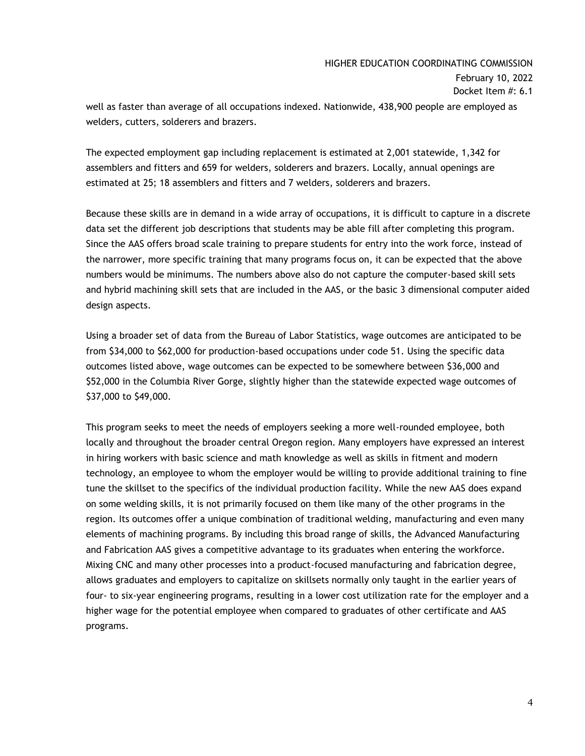## HIGHER EDUCATION COORDINATING COMMISSION

February 10, 2022 Docket Item #: 6.1

well as faster than average of all occupations indexed. Nationwide, 438,900 people are employed as welders, cutters, solderers and brazers.

The expected employment gap including replacement is estimated at 2,001 statewide, 1,342 for assemblers and fitters and 659 for welders, solderers and brazers. Locally, annual openings are estimated at 25; 18 assemblers and fitters and 7 welders, solderers and brazers.

Because these skills are in demand in a wide array of occupations, it is difficult to capture in a discrete data set the different job descriptions that students may be able fill after completing this program. Since the AAS offers broad scale training to prepare students for entry into the work force, instead of the narrower, more specific training that many programs focus on, it can be expected that the above numbers would be minimums. The numbers above also do not capture the computer-based skill sets and hybrid machining skill sets that are included in the AAS, or the basic 3 dimensional computer aided design aspects.

Using a broader set of data from the Bureau of Labor Statistics, wage outcomes are anticipated to be from \$34,000 to \$62,000 for production-based occupations under code 51. Using the specific data outcomes listed above, wage outcomes can be expected to be somewhere between \$36,000 and \$52,000 in the Columbia River Gorge, slightly higher than the statewide expected wage outcomes of \$37,000 to \$49,000.

This program seeks to meet the needs of employers seeking a more well-rounded employee, both locally and throughout the broader central Oregon region. Many employers have expressed an interest in hiring workers with basic science and math knowledge as well as skills in fitment and modern technology, an employee to whom the employer would be willing to provide additional training to fine tune the skillset to the specifics of the individual production facility. While the new AAS does expand on some welding skills, it is not primarily focused on them like many of the other programs in the region. Its outcomes offer a unique combination of traditional welding, manufacturing and even many elements of machining programs. By including this broad range of skills, the Advanced Manufacturing and Fabrication AAS gives a competitive advantage to its graduates when entering the workforce. Mixing CNC and many other processes into a product-focused manufacturing and fabrication degree, allows graduates and employers to capitalize on skillsets normally only taught in the earlier years of four- to six-year engineering programs, resulting in a lower cost utilization rate for the employer and a higher wage for the potential employee when compared to graduates of other certificate and AAS programs.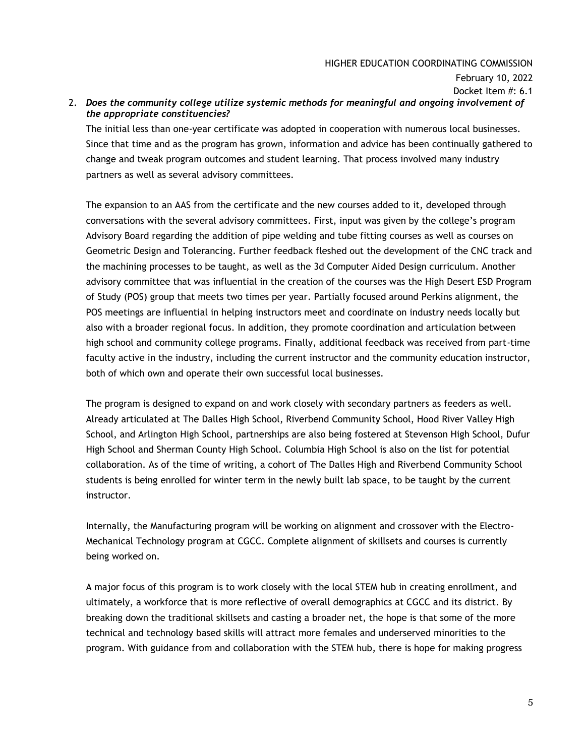### HIGHER EDUCATION COORDINATING COMMISSION

February 10, 2022

Docket Item #: 6.1

### 2. *Does the community college utilize systemic methods for meaningful and ongoing involvement of the appropriate constituencies?*

The initial less than one-year certificate was adopted in cooperation with numerous local businesses. Since that time and as the program has grown, information and advice has been continually gathered to change and tweak program outcomes and student learning. That process involved many industry partners as well as several advisory committees.

The expansion to an AAS from the certificate and the new courses added to it, developed through conversations with the several advisory committees. First, input was given by the college's program Advisory Board regarding the addition of pipe welding and tube fitting courses as well as courses on Geometric Design and Tolerancing. Further feedback fleshed out the development of the CNC track and the machining processes to be taught, as well as the 3d Computer Aided Design curriculum. Another advisory committee that was influential in the creation of the courses was the High Desert ESD Program of Study (POS) group that meets two times per year. Partially focused around Perkins alignment, the POS meetings are influential in helping instructors meet and coordinate on industry needs locally but also with a broader regional focus. In addition, they promote coordination and articulation between high school and community college programs. Finally, additional feedback was received from part-time faculty active in the industry, including the current instructor and the community education instructor, both of which own and operate their own successful local businesses.

The program is designed to expand on and work closely with secondary partners as feeders as well. Already articulated at The Dalles High School, Riverbend Community School, Hood River Valley High School, and Arlington High School, partnerships are also being fostered at Stevenson High School, Dufur High School and Sherman County High School. Columbia High School is also on the list for potential collaboration. As of the time of writing, a cohort of The Dalles High and Riverbend Community School students is being enrolled for winter term in the newly built lab space, to be taught by the current instructor.

Internally, the Manufacturing program will be working on alignment and crossover with the Electro-Mechanical Technology program at CGCC. Complete alignment of skillsets and courses is currently being worked on.

A major focus of this program is to work closely with the local STEM hub in creating enrollment, and ultimately, a workforce that is more reflective of overall demographics at CGCC and its district. By breaking down the traditional skillsets and casting a broader net, the hope is that some of the more technical and technology based skills will attract more females and underserved minorities to the program. With guidance from and collaboration with the STEM hub, there is hope for making progress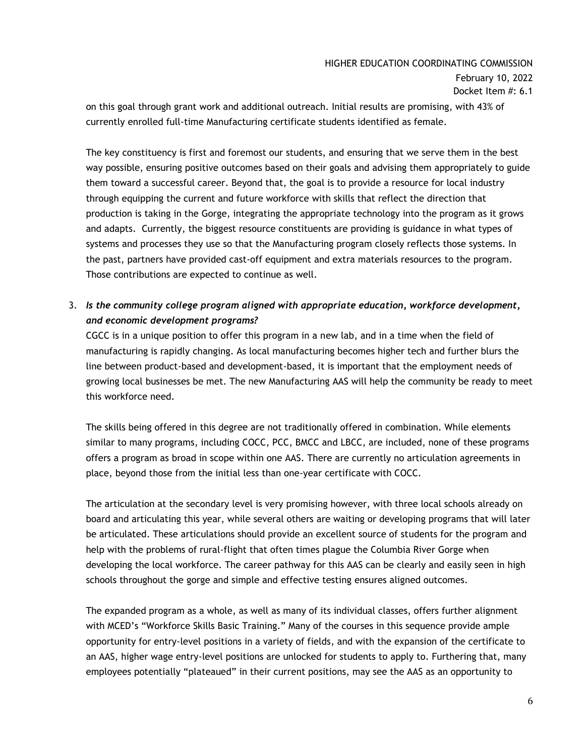# HIGHER EDUCATION COORDINATING COMMISSION February 10, 2022 Docket Item #: 6.1

on this goal through grant work and additional outreach. Initial results are promising, with 43% of currently enrolled full-time Manufacturing certificate students identified as female.

The key constituency is first and foremost our students, and ensuring that we serve them in the best way possible, ensuring positive outcomes based on their goals and advising them appropriately to guide them toward a successful career. Beyond that, the goal is to provide a resource for local industry through equipping the current and future workforce with skills that reflect the direction that production is taking in the Gorge, integrating the appropriate technology into the program as it grows and adapts. Currently, the biggest resource constituents are providing is guidance in what types of systems and processes they use so that the Manufacturing program closely reflects those systems. In the past, partners have provided cast-off equipment and extra materials resources to the program. Those contributions are expected to continue as well.

3. *Is the community college program aligned with appropriate education, workforce development, and economic development programs?*

CGCC is in a unique position to offer this program in a new lab, and in a time when the field of manufacturing is rapidly changing. As local manufacturing becomes higher tech and further blurs the line between product-based and development-based, it is important that the employment needs of growing local businesses be met. The new Manufacturing AAS will help the community be ready to meet this workforce need.

The skills being offered in this degree are not traditionally offered in combination. While elements similar to many programs, including COCC, PCC, BMCC and LBCC, are included, none of these programs offers a program as broad in scope within one AAS. There are currently no articulation agreements in place, beyond those from the initial less than one-year certificate with COCC.

The articulation at the secondary level is very promising however, with three local schools already on board and articulating this year, while several others are waiting or developing programs that will later be articulated. These articulations should provide an excellent source of students for the program and help with the problems of rural-flight that often times plague the Columbia River Gorge when developing the local workforce. The career pathway for this AAS can be clearly and easily seen in high schools throughout the gorge and simple and effective testing ensures aligned outcomes.

The expanded program as a whole, as well as many of its individual classes, offers further alignment with MCED's "Workforce Skills Basic Training." Many of the courses in this sequence provide ample opportunity for entry-level positions in a variety of fields, and with the expansion of the certificate to an AAS, higher wage entry-level positions are unlocked for students to apply to. Furthering that, many employees potentially "plateaued" in their current positions, may see the AAS as an opportunity to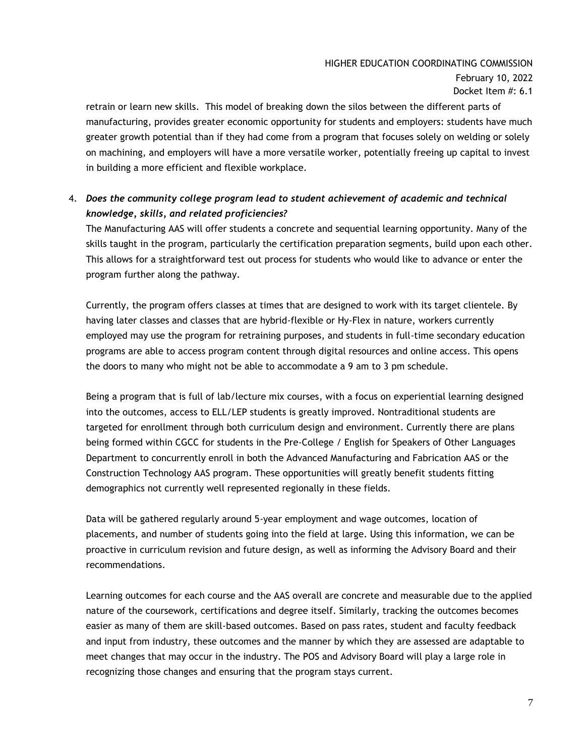# HIGHER EDUCATION COORDINATING COMMISSION February 10, 2022 Docket Item #: 6.1

retrain or learn new skills. This model of breaking down the silos between the different parts of manufacturing, provides greater economic opportunity for students and employers: students have much greater growth potential than if they had come from a program that focuses solely on welding or solely on machining, and employers will have a more versatile worker, potentially freeing up capital to invest in building a more efficient and flexible workplace.

# 4. *Does the community college program lead to student achievement of academic and technical knowledge, skills, and related proficiencies?*

The Manufacturing AAS will offer students a concrete and sequential learning opportunity. Many of the skills taught in the program, particularly the certification preparation segments, build upon each other. This allows for a straightforward test out process for students who would like to advance or enter the program further along the pathway.

Currently, the program offers classes at times that are designed to work with its target clientele. By having later classes and classes that are hybrid-flexible or Hy-Flex in nature, workers currently employed may use the program for retraining purposes, and students in full-time secondary education programs are able to access program content through digital resources and online access. This opens the doors to many who might not be able to accommodate a 9 am to 3 pm schedule.

Being a program that is full of lab/lecture mix courses, with a focus on experiential learning designed into the outcomes, access to ELL/LEP students is greatly improved. Nontraditional students are targeted for enrollment through both curriculum design and environment. Currently there are plans being formed within CGCC for students in the Pre-College / English for Speakers of Other Languages Department to concurrently enroll in both the Advanced Manufacturing and Fabrication AAS or the Construction Technology AAS program. These opportunities will greatly benefit students fitting demographics not currently well represented regionally in these fields.

Data will be gathered regularly around 5-year employment and wage outcomes, location of placements, and number of students going into the field at large. Using this information, we can be proactive in curriculum revision and future design, as well as informing the Advisory Board and their recommendations.

Learning outcomes for each course and the AAS overall are concrete and measurable due to the applied nature of the coursework, certifications and degree itself. Similarly, tracking the outcomes becomes easier as many of them are skill-based outcomes. Based on pass rates, student and faculty feedback and input from industry, these outcomes and the manner by which they are assessed are adaptable to meet changes that may occur in the industry. The POS and Advisory Board will play a large role in recognizing those changes and ensuring that the program stays current.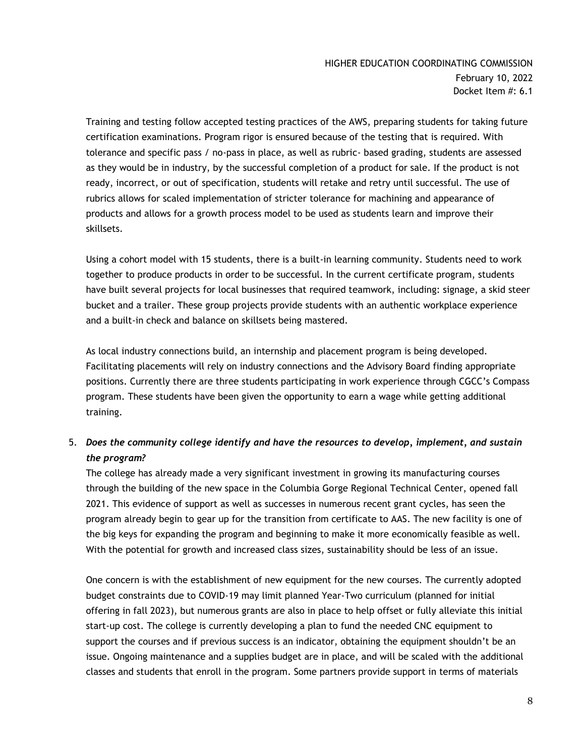Training and testing follow accepted testing practices of the AWS, preparing students for taking future certification examinations. Program rigor is ensured because of the testing that is required. With tolerance and specific pass / no-pass in place, as well as rubric- based grading, students are assessed as they would be in industry, by the successful completion of a product for sale. If the product is not ready, incorrect, or out of specification, students will retake and retry until successful. The use of rubrics allows for scaled implementation of stricter tolerance for machining and appearance of products and allows for a growth process model to be used as students learn and improve their skillsets.

Using a cohort model with 15 students, there is a built-in learning community. Students need to work together to produce products in order to be successful. In the current certificate program, students have built several projects for local businesses that required teamwork, including: signage, a skid steer bucket and a trailer. These group projects provide students with an authentic workplace experience and a built-in check and balance on skillsets being mastered.

As local industry connections build, an internship and placement program is being developed. Facilitating placements will rely on industry connections and the Advisory Board finding appropriate positions. Currently there are three students participating in work experience through CGCC's Compass program. These students have been given the opportunity to earn a wage while getting additional training.

# 5. *Does the community college identify and have the resources to develop, implement, and sustain the program?*

The college has already made a very significant investment in growing its manufacturing courses through the building of the new space in the Columbia Gorge Regional Technical Center, opened fall 2021. This evidence of support as well as successes in numerous recent grant cycles, has seen the program already begin to gear up for the transition from certificate to AAS. The new facility is one of the big keys for expanding the program and beginning to make it more economically feasible as well. With the potential for growth and increased class sizes, sustainability should be less of an issue.

One concern is with the establishment of new equipment for the new courses. The currently adopted budget constraints due to COVID-19 may limit planned Year-Two curriculum (planned for initial offering in fall 2023), but numerous grants are also in place to help offset or fully alleviate this initial start-up cost. The college is currently developing a plan to fund the needed CNC equipment to support the courses and if previous success is an indicator, obtaining the equipment shouldn't be an issue. Ongoing maintenance and a supplies budget are in place, and will be scaled with the additional classes and students that enroll in the program. Some partners provide support in terms of materials